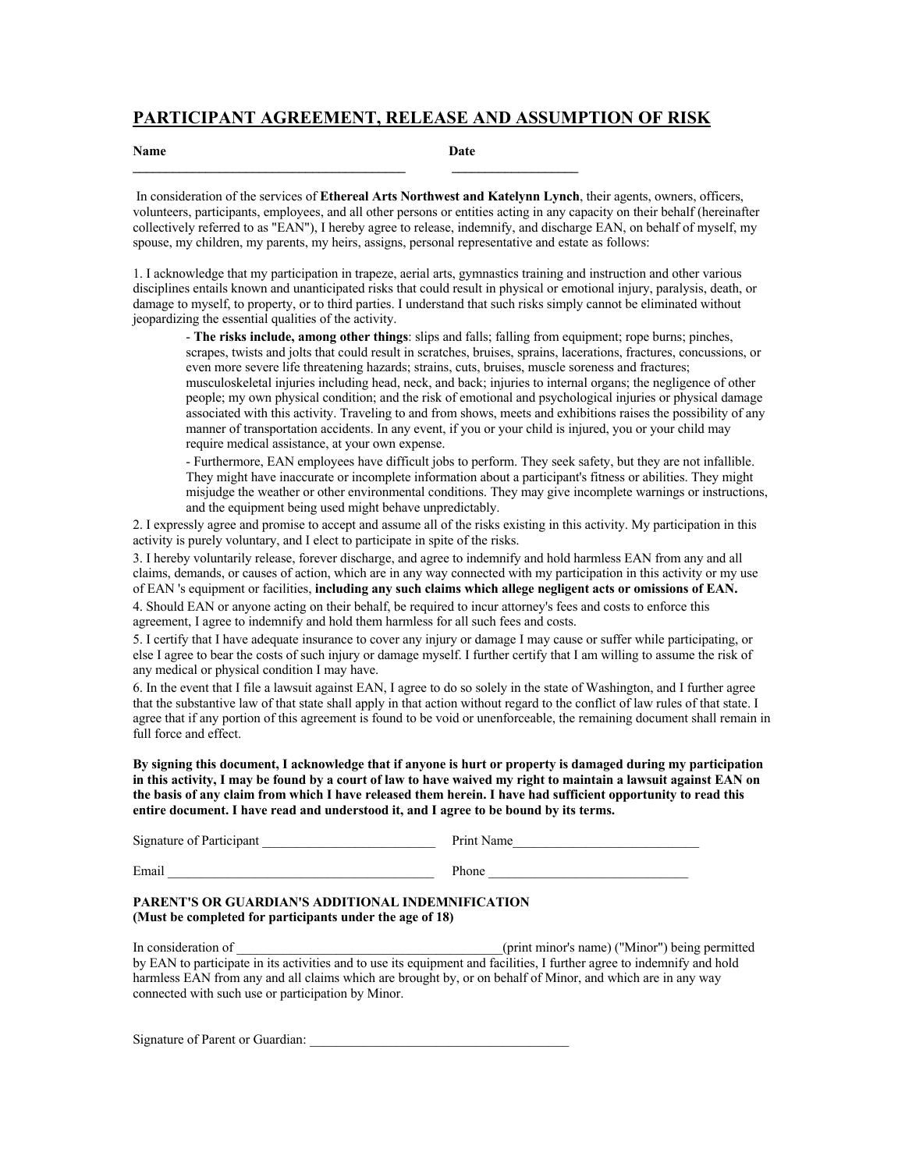### **PARTICIPANT AGREEMENT, RELEASE AND ASSUMPTION OF RISK**

#### **Name** Date

In consideration of the services of **Ethereal Arts Northwest and Katelynn Lynch**, their agents, owners, officers, volunteers, participants, employees, and all other persons or entities acting in any capacity on their behalf (hereinafter collectively referred to as "EAN"), I hereby agree to release, indemnify, and discharge EAN, on behalf of myself, my spouse, my children, my parents, my heirs, assigns, personal representative and estate as follows:

1. I acknowledge that my participation in trapeze, aerial arts, gymnastics training and instruction and other various disciplines entails known and unanticipated risks that could result in physical or emotional injury, paralysis, death, or damage to myself, to property, or to third parties. I understand that such risks simply cannot be eliminated without jeopardizing the essential qualities of the activity.

- **The risks include, among other things**: slips and falls; falling from equipment; rope burns; pinches, scrapes, twists and jolts that could result in scratches, bruises, sprains, lacerations, fractures, concussions, or even more severe life threatening hazards; strains, cuts, bruises, muscle soreness and fractures; musculoskeletal injuries including head, neck, and back; injuries to internal organs; the negligence of other people; my own physical condition; and the risk of emotional and psychological injuries or physical damage associated with this activity. Traveling to and from shows, meets and exhibitions raises the possibility of any manner of transportation accidents. In any event, if you or your child is injured, you or your child may require medical assistance, at your own expense.

- Furthermore, EAN employees have difficult jobs to perform. They seek safety, but they are not infallible. They might have inaccurate or incomplete information about a participant's fitness or abilities. They might misjudge the weather or other environmental conditions. They may give incomplete warnings or instructions, and the equipment being used might behave unpredictably.

2. I expressly agree and promise to accept and assume all of the risks existing in this activity. My participation in this activity is purely voluntary, and I elect to participate in spite of the risks.

3. I hereby voluntarily release, forever discharge, and agree to indemnify and hold harmless EAN from any and all claims, demands, or causes of action, which are in any way connected with my participation in this activity or my use of EAN 's equipment or facilities, **including any such claims which allege negligent acts or omissions of EAN.**

4. Should EAN or anyone acting on their behalf, be required to incur attorney's fees and costs to enforce this agreement, I agree to indemnify and hold them harmless for all such fees and costs.

5. I certify that I have adequate insurance to cover any injury or damage I may cause or suffer while participating, or else I agree to bear the costs of such injury or damage myself. I further certify that I am willing to assume the risk of any medical or physical condition I may have.

6. In the event that I file a lawsuit against EAN, I agree to do so solely in the state of Washington, and I further agree that the substantive law of that state shall apply in that action without regard to the conflict of law rules of that state. I agree that if any portion of this agreement is found to be void or unenforceable, the remaining document shall remain in full force and effect.

**By signing this document, I acknowledge that if anyone is hurt or property is damaged during my participation in this activity, I may be found by a court of law to have waived my right to maintain a lawsuit against EAN on the basis of any claim from which I have released them herein. I have had sufficient opportunity to read this entire document. I have read and understood it, and I agree to be bound by its terms.** 

| Signature of Participant | Print Name |
|--------------------------|------------|
| Email                    | Phone      |

#### **PARENT'S OR GUARDIAN'S ADDITIONAL INDEMNIFICATION (Must be completed for participants under the age of 18)**

In consideration of  $_{\text{(print minor's name)}}$  ("Minor") being permitted by EAN to participate in its activities and to use its equipment and facilities, I further agree to indemnify and hold harmless EAN from any and all claims which are brought by, or on behalf of Minor, and which are in any way connected with such use or participation by Minor.

Signature of Parent or Guardian: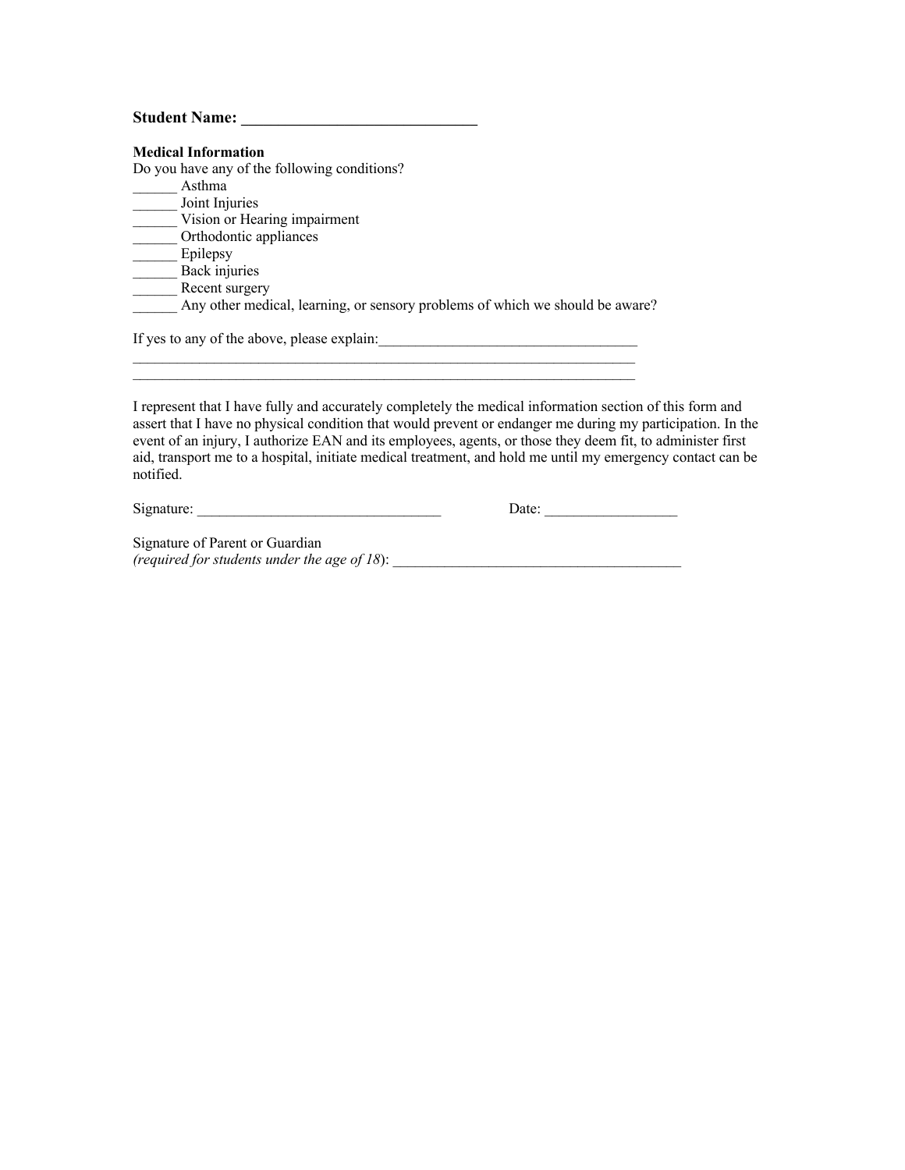#### **Student Name: \_\_\_\_\_\_\_\_\_\_\_\_\_\_\_\_\_\_\_\_\_\_\_\_\_\_\_\_\_\_\_\_**

| <b>Medical Information</b>                                                    |
|-------------------------------------------------------------------------------|
| Do you have any of the following conditions?                                  |
| Asthma                                                                        |
| Joint Injuries                                                                |
| Vision or Hearing impairment                                                  |
| Orthodontic appliances                                                        |
| Epilepsy                                                                      |
| Back injuries                                                                 |
| Recent surgery                                                                |
| Any other medical, learning, or sensory problems of which we should be aware? |
| If yes to any of the above, please explain:                                   |

I represent that I have fully and accurately completely the medical information section of this form and assert that I have no physical condition that would prevent or endanger me during my participation. In the event of an injury, I authorize EAN and its employees, agents, or those they deem fit, to administer first aid, transport me to a hospital, initiate medical treatment, and hold me until my emergency contact can be notified.

Signature: \_\_\_\_\_\_\_\_\_\_\_\_\_\_\_\_\_\_\_\_\_\_\_\_\_\_\_\_\_\_\_\_\_ Date: \_\_\_\_\_\_\_\_\_\_\_\_\_\_\_\_\_\_

Signature of Parent or Guardian *(required for students under the age of 18*): \_\_\_\_\_\_\_\_\_\_\_\_\_\_\_\_\_\_\_\_\_\_\_\_\_\_\_\_\_\_\_\_\_\_\_\_\_\_\_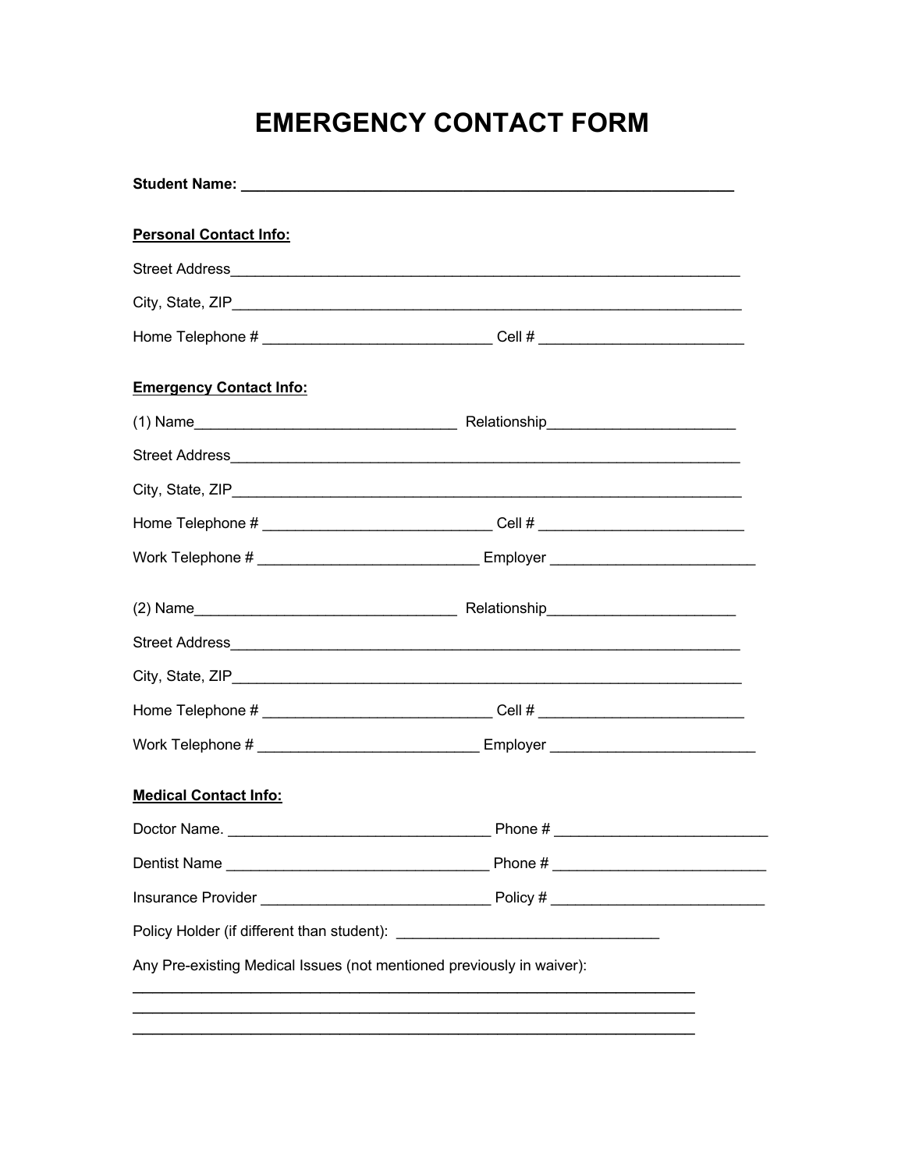# **EMERGENCY CONTACT FORM**

| <b>Personal Contact Info:</b>                                                    |  |
|----------------------------------------------------------------------------------|--|
|                                                                                  |  |
|                                                                                  |  |
| Home Telephone # ______________________________Cell # __________________________ |  |
| <b>Emergency Contact Info:</b>                                                   |  |
|                                                                                  |  |
|                                                                                  |  |
|                                                                                  |  |
| Home Telephone # _______________________________Cell # _________________________ |  |
| Work Telephone # ____________________________ Employer _________________________ |  |
|                                                                                  |  |
|                                                                                  |  |
|                                                                                  |  |
| Home Telephone # _______________________________Cell # _________________________ |  |
| Work Telephone # ________________________________Employer ______________________ |  |
| <b>Medical Contact Info:</b>                                                     |  |
|                                                                                  |  |
|                                                                                  |  |
|                                                                                  |  |
|                                                                                  |  |
| Any Pre-existing Medical Issues (not mentioned previously in waiver):            |  |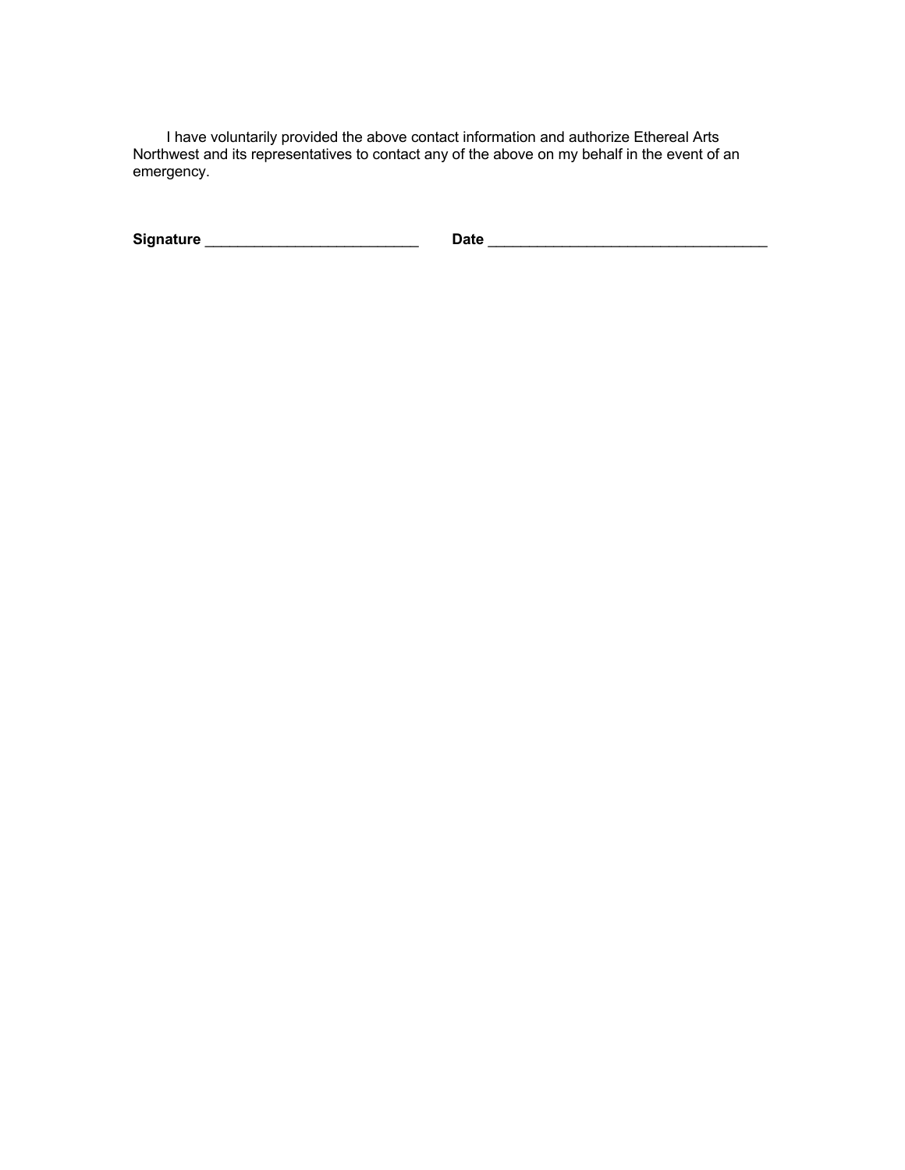I have voluntarily provided the above contact information and authorize Ethereal Arts Northwest and its representatives to contact any of the above on my behalf in the event of an emergency.

**Signature** \_\_\_\_\_\_\_\_\_\_\_\_\_\_\_\_\_\_\_\_\_\_\_\_\_\_ **Date** \_\_\_\_\_\_\_\_\_\_\_\_\_\_\_\_\_\_\_\_\_\_\_\_\_\_\_\_\_\_\_\_\_\_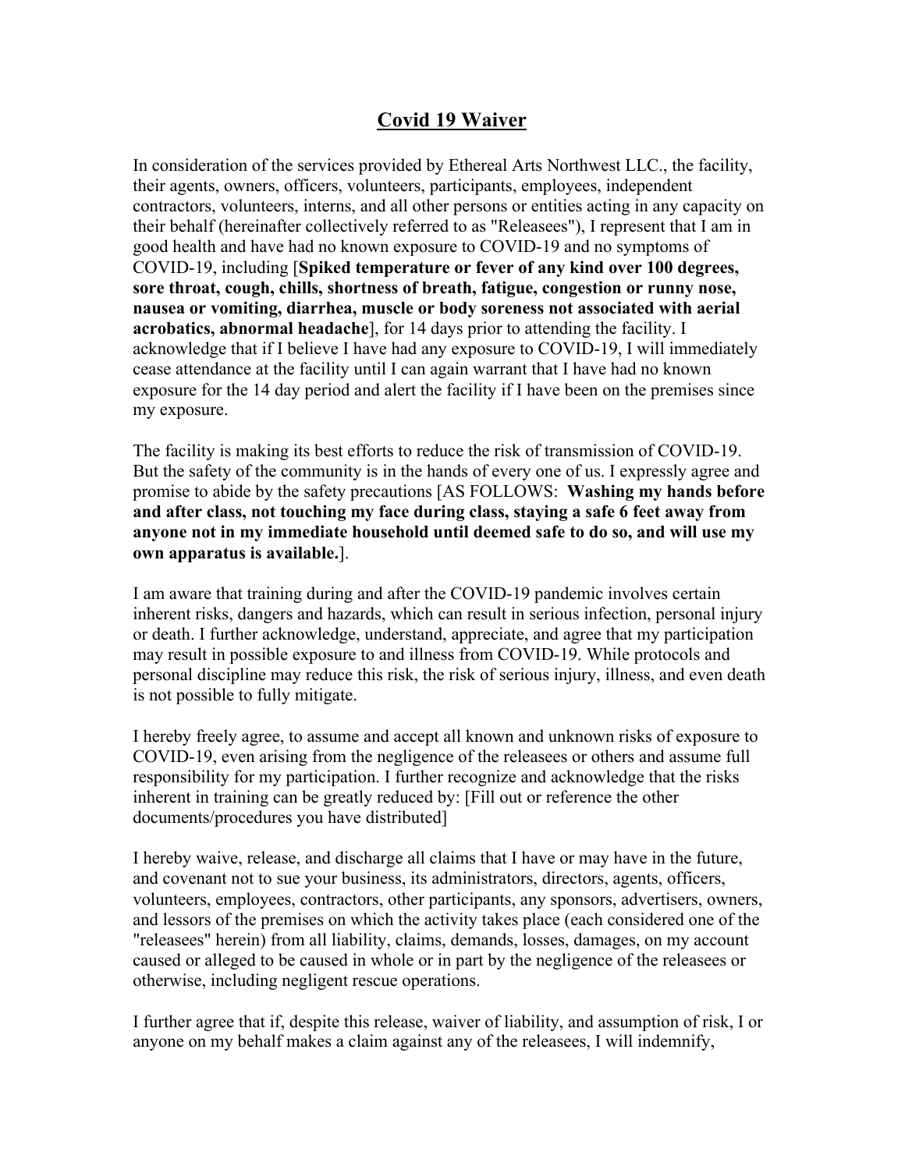## **Covid 19 Waiver**

In consideration of the services provided by Ethereal Arts Northwest LLC., the facility, their agents, owners, officers, volunteers, participants, employees, independent contractors, volunteers, interns, and all other persons or entities acting in any capacity on their behalf (hereinafter collectively referred to as "Releasees"), I represent that I am in good health and have had no known exposure to COVID-19 and no symptoms of COVID-19, including [**Spiked temperature or fever of any kind over 100 degrees, sore throat, cough, chills, shortness of breath, fatigue, congestion or runny nose, nausea or vomiting, diarrhea, muscle or body soreness not associated with aerial acrobatics, abnormal headache**], for 14 days prior to attending the facility. I acknowledge that if I believe I have had any exposure to COVID-19, I will immediately cease attendance at the facility until I can again warrant that I have had no known exposure for the 14 day period and alert the facility if I have been on the premises since my exposure.

The facility is making its best efforts to reduce the risk of transmission of COVID-19. But the safety of the community is in the hands of every one of us. I expressly agree and promise to abide by the safety precautions [AS FOLLOWS: **Washing my hands before and after class, not touching my face during class, staying a safe 6 feet away from anyone not in my immediate household until deemed safe to do so, and will use my own apparatus is available.**].

I am aware that training during and after the COVID-19 pandemic involves certain inherent risks, dangers and hazards, which can result in serious infection, personal injury or death. I further acknowledge, understand, appreciate, and agree that my participation may result in possible exposure to and illness from COVID-19. While protocols and personal discipline may reduce this risk, the risk of serious injury, illness, and even death is not possible to fully mitigate.

I hereby freely agree, to assume and accept all known and unknown risks of exposure to COVID-19, even arising from the negligence of the releasees or others and assume full responsibility for my participation. I further recognize and acknowledge that the risks inherent in training can be greatly reduced by: [Fill out or reference the other documents/procedures you have distributed]

I hereby waive, release, and discharge all claims that I have or may have in the future, and covenant not to sue your business, its administrators, directors, agents, officers, volunteers, employees, contractors, other participants, any sponsors, advertisers, owners, and lessors of the premises on which the activity takes place (each considered one of the "releasees" herein) from all liability, claims, demands, losses, damages, on my account caused or alleged to be caused in whole or in part by the negligence of the releasees or otherwise, including negligent rescue operations.

I further agree that if, despite this release, waiver of liability, and assumption of risk, I or anyone on my behalf makes a claim against any of the releasees, I will indemnify,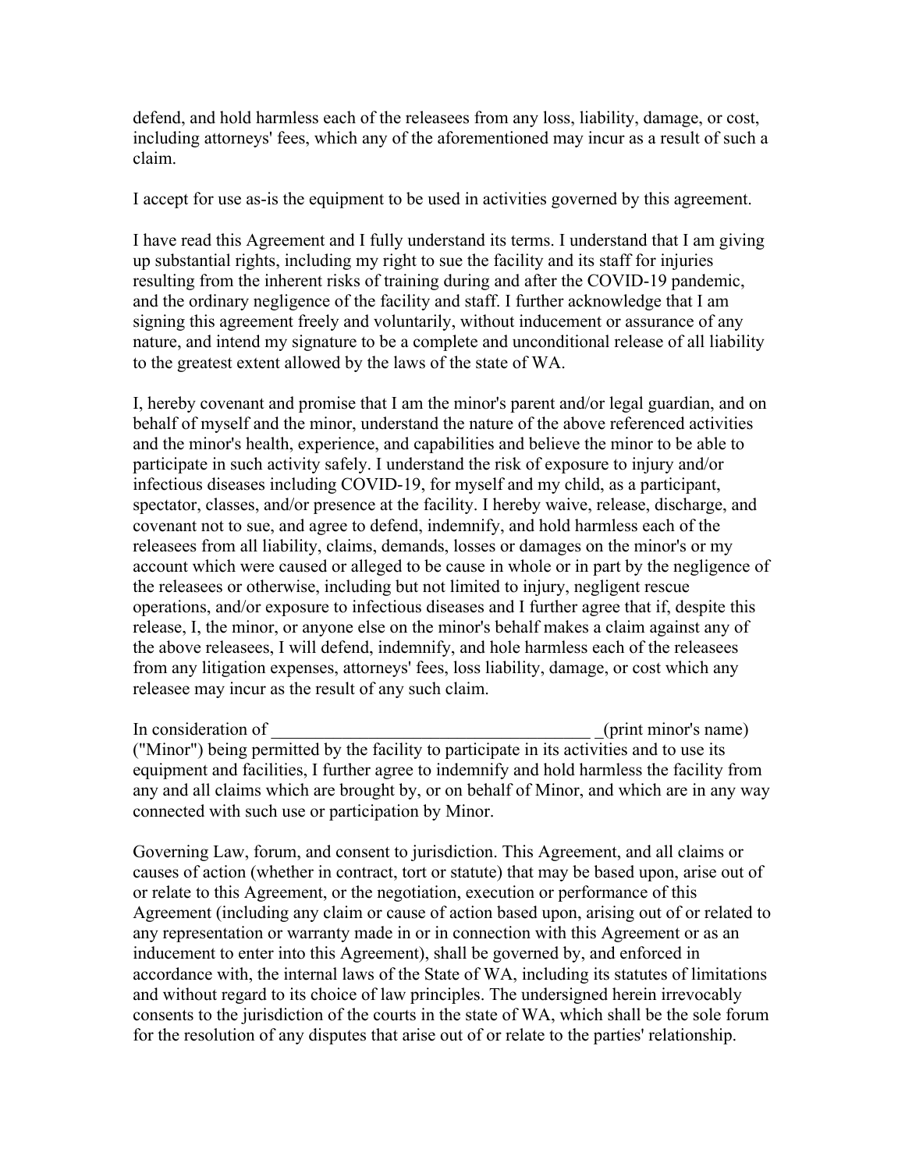defend, and hold harmless each of the releasees from any loss, liability, damage, or cost, including attorneys' fees, which any of the aforementioned may incur as a result of such a claim.

I accept for use as-is the equipment to be used in activities governed by this agreement.

I have read this Agreement and I fully understand its terms. I understand that I am giving up substantial rights, including my right to sue the facility and its staff for injuries resulting from the inherent risks of training during and after the COVID-19 pandemic, and the ordinary negligence of the facility and staff. I further acknowledge that I am signing this agreement freely and voluntarily, without inducement or assurance of any nature, and intend my signature to be a complete and unconditional release of all liability to the greatest extent allowed by the laws of the state of WA.

I, hereby covenant and promise that I am the minor's parent and/or legal guardian, and on behalf of myself and the minor, understand the nature of the above referenced activities and the minor's health, experience, and capabilities and believe the minor to be able to participate in such activity safely. I understand the risk of exposure to injury and/or infectious diseases including COVID-19, for myself and my child, as a participant, spectator, classes, and/or presence at the facility. I hereby waive, release, discharge, and covenant not to sue, and agree to defend, indemnify, and hold harmless each of the releasees from all liability, claims, demands, losses or damages on the minor's or my account which were caused or alleged to be cause in whole or in part by the negligence of the releasees or otherwise, including but not limited to injury, negligent rescue operations, and/or exposure to infectious diseases and I further agree that if, despite this release, I, the minor, or anyone else on the minor's behalf makes a claim against any of the above releasees, I will defend, indemnify, and hole harmless each of the releasees from any litigation expenses, attorneys' fees, loss liability, damage, or cost which any releasee may incur as the result of any such claim.

In consideration of the constant of the consideration of the constant of the constant of the constant of the constant of the constant of the constant of the constant of the constant of the constant of the constant of the c ("Minor") being permitted by the facility to participate in its activities and to use its equipment and facilities, I further agree to indemnify and hold harmless the facility from any and all claims which are brought by, or on behalf of Minor, and which are in any way connected with such use or participation by Minor.

Governing Law, forum, and consent to jurisdiction. This Agreement, and all claims or causes of action (whether in contract, tort or statute) that may be based upon, arise out of or relate to this Agreement, or the negotiation, execution or performance of this Agreement (including any claim or cause of action based upon, arising out of or related to any representation or warranty made in or in connection with this Agreement or as an inducement to enter into this Agreement), shall be governed by, and enforced in accordance with, the internal laws of the State of WA, including its statutes of limitations and without regard to its choice of law principles. The undersigned herein irrevocably consents to the jurisdiction of the courts in the state of WA, which shall be the sole forum for the resolution of any disputes that arise out of or relate to the parties' relationship.